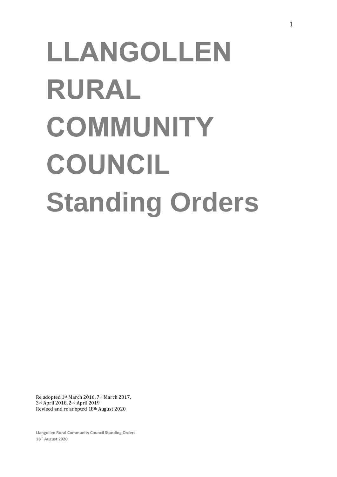# **LLANGOLLEN RURAL COMMUNITY COUNCIL Standing Orders**

Re adopted 1st March 2016, 7th March 2017, 3rd April 2018, 2nd April 2019 Revised and re adopted 18th August 2020

**Llangollen Rural Community Council Standing Orders 18th August 2020**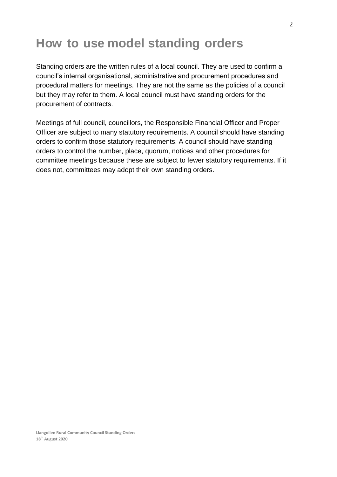#### **How to use model standing orders**

Standing orders are the written rules of a local council. They are used to confirm a council's internal organisational, administrative and procurement procedures and procedural matters for meetings. They are not the same as the policies of a council but they may refer to them. A local council must have standing orders for the procurement of contracts.

Meetings of full council, councillors, the Responsible Financial Officer and Proper Officer are subject to many statutory requirements. A council should have standing orders to confirm those statutory requirements. A council should have standing orders to control the number, place, quorum, notices and other procedures for committee meetings because these are subject to fewer statutory requirements. If it does not, committees may adopt their own standing orders.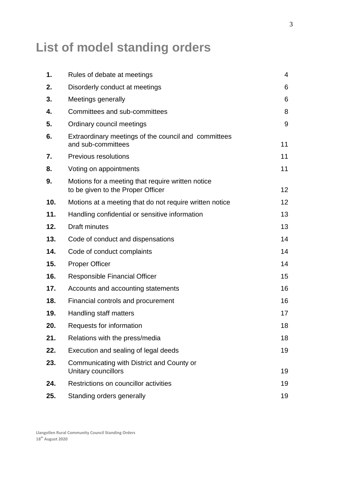#### **List of model standing orders**

| 1.  | Rules of debate at meetings                                                            | 4  |
|-----|----------------------------------------------------------------------------------------|----|
| 2.  | Disorderly conduct at meetings                                                         | 6  |
| 3.  | Meetings generally                                                                     | 6  |
| 4.  | Committees and sub-committees                                                          | 8  |
| 5.  | Ordinary council meetings                                                              | 9  |
| 6.  | Extraordinary meetings of the council and committees<br>and sub-committees             | 11 |
| 7.  | Previous resolutions                                                                   | 11 |
| 8.  | Voting on appointments                                                                 | 11 |
| 9.  | Motions for a meeting that require written notice<br>to be given to the Proper Officer | 12 |
| 10. | Motions at a meeting that do not require written notice                                | 12 |
| 11. | Handling confidential or sensitive information                                         | 13 |
| 12. | <b>Draft minutes</b>                                                                   | 13 |
| 13. | Code of conduct and dispensations                                                      | 14 |
| 14. | Code of conduct complaints                                                             | 14 |
| 15. | <b>Proper Officer</b>                                                                  | 14 |
| 16. | <b>Responsible Financial Officer</b>                                                   | 15 |
| 17. | Accounts and accounting statements                                                     | 16 |
| 18. | Financial controls and procurement                                                     | 16 |
| 19. | Handling staff matters                                                                 | 17 |
| 20. | Requests for information                                                               | 18 |
| 21. | Relations with the press/media                                                         | 18 |
| 22. | Execution and sealing of legal deeds                                                   | 19 |
| 23. | Communicating with District and County or<br>Unitary councillors                       | 19 |
| 24. | Restrictions on councillor activities                                                  | 19 |
| 25. | Standing orders generally                                                              | 19 |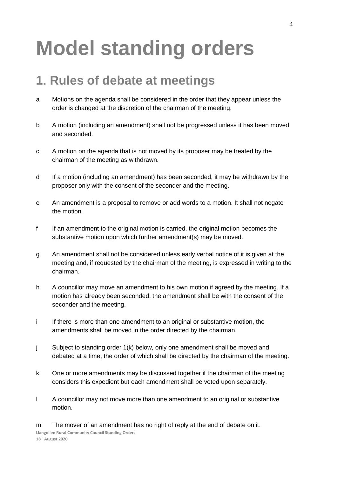## **Model standing orders**

#### **1. Rules of debate at meetings**

- a Motions on the agenda shall be considered in the order that they appear unless the order is changed at the discretion of the chairman of the meeting.
- b A motion (including an amendment) shall not be progressed unless it has been moved and seconded.
- c A motion on the agenda that is not moved by its proposer may be treated by the chairman of the meeting as withdrawn.
- d If a motion (including an amendment) has been seconded, it may be withdrawn by the proposer only with the consent of the seconder and the meeting.
- e An amendment is a proposal to remove or add words to a motion. It shall not negate the motion.
- f If an amendment to the original motion is carried, the original motion becomes the substantive motion upon which further amendment(s) may be moved.
- g An amendment shall not be considered unless early verbal notice of it is given at the meeting and, if requested by the chairman of the meeting, is expressed in writing to the chairman.
- h A councillor may move an amendment to his own motion if agreed by the meeting. If a motion has already been seconded, the amendment shall be with the consent of the seconder and the meeting.
- i If there is more than one amendment to an original or substantive motion, the amendments shall be moved in the order directed by the chairman.
- j Subject to standing order 1(k) below, only one amendment shall be moved and debated at a time, the order of which shall be directed by the chairman of the meeting.
- k One or more amendments may be discussed together if the chairman of the meeting considers this expedient but each amendment shall be voted upon separately.
- l A councillor may not move more than one amendment to an original or substantive motion.

**Llangollen Rural Community Council Standing Orders 18th August 2020** m The mover of an amendment has no right of reply at the end of debate on it.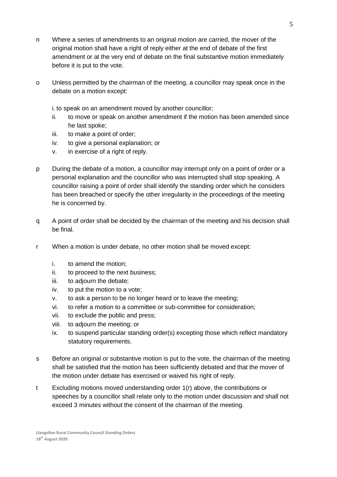- n Where a series of amendments to an original motion are carried, the mover of the original motion shall have a right of reply either at the end of debate of the first amendment or at the very end of debate on the final substantive motion immediately before it is put to the vote.
- o Unless permitted by the chairman of the meeting, a councillor may speak once in the debate on a motion except:

i. to speak on an amendment moved by another councillor;

- ii. to move or speak on another amendment if the motion has been amended since he last spoke;
- iii. to make a point of order;
- iv. to give a personal explanation; or
- v. in exercise of a right of reply.
- p During the debate of a motion, a councillor may interrupt only on a point of order or a personal explanation and the councillor who was interrupted shall stop speaking. A councillor raising a point of order shall identify the standing order which he considers has been breached or specify the other irregularity in the proceedings of the meeting he is concerned by.
- q A point of order shall be decided by the chairman of the meeting and his decision shall be final.
- r When a motion is under debate, no other motion shall be moved except:
	- i. to amend the motion;
	- ii. to proceed to the next business;
	- iii. to adjourn the debate;
	- iv. to put the motion to a vote;
	- v. to ask a person to be no longer heard or to leave the meeting;
	- vi. to refer a motion to a committee or sub-committee for consideration;
	- vii. to exclude the public and press;
	- viii. to adjourn the meeting; or
	- ix. to suspend particular standing order(s) excepting those which reflect mandatory statutory requirements.
- s Before an original or substantive motion is put to the vote, the chairman of the meeting shall be satisfied that the motion has been sufficiently debated and that the mover of the motion under debate has exercised or waived his right of reply.
- t Excluding motions moved understanding order 1(r) above, the contributions or speeches by a councillor shall relate only to the motion under discussion and shall not exceed 3 minutes without the consent of the chairman of the meeting.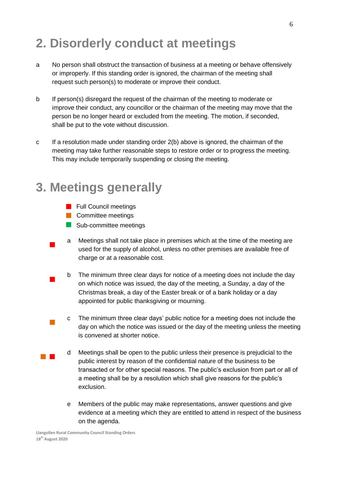#### **2. Disorderly conduct at meetings**

- a No person shall obstruct the transaction of business at a meeting or behave offensively or improperly. If this standing order is ignored, the chairman of the meeting shall request such person(s) to moderate or improve their conduct.
- b If person(s) disregard the request of the chairman of the meeting to moderate or improve their conduct, any councillor or the chairman of the meeting may move that the person be no longer heard or excluded from the meeting. The motion, if seconded, shall be put to the vote without discussion.
- c If a resolution made under standing order 2(b) above is ignored, the chairman of the meeting may take further reasonable steps to restore order or to progress the meeting. This may include temporarily suspending or closing the meeting.

#### **3. Meetings generally**

- **Full Council meetings**
- **Committee meetings**

 $\overline{\phantom{a}}$ 

 $\blacksquare$ 

- Sub-committee meetings
- a Meetings shall not take place in premises which at the time of the meeting are used for the supply of alcohol, unless no other premises are available free of charge or at a reasonable cost.
- b The minimum three clear days for notice of a meeting does not include the day on which notice was issued, the day of the meeting, a Sunday, a day of the Christmas break, a day of the Easter break or of a bank holiday or a day appointed for public thanksgiving or mourning.
- $\mathbb{R}^2$ c The minimum three clear days' public notice for a meeting does not include the day on which the notice was issued or the day of the meeting unless the meeting is convened at shorter notice.
- **The Co** d Meetings shall be open to the public unless their presence is prejudicial to the public interest by reason of the confidential nature of the business to be transacted or for other special reasons. The public's exclusion from part or all of a meeting shall be by a resolution which shall give reasons for the public's exclusion.
	- e Members of the public may make representations, answer questions and give evidence at a meeting which they are entitled to attend in respect of the business on the agenda.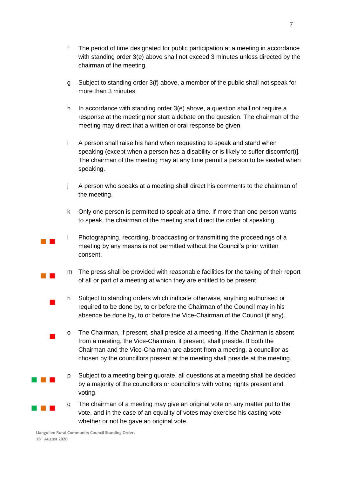- 
- f The period of time designated for public participation at a meeting in accordance with standing order 3(e) above shall not exceed 3 minutes unless directed by the chairman of the meeting.
- g Subject to standing order 3(f) above, a member of the public shall not speak for more than 3 minutes.
- h In accordance with standing order 3(e) above, a question shall not require a response at the meeting nor start a debate on the question. The chairman of the meeting may direct that a written or oral response be given.
- i A person shall raise his hand when requesting to speak and stand when speaking (except when a person has a disability or is likely to suffer discomfort)]. The chairman of the meeting may at any time permit a person to be seated when speaking.
- j A person who speaks at a meeting shall direct his comments to the chairman of the meeting.
- k Only one person is permitted to speak at a time. If more than one person wants to speak, the chairman of the meeting shall direct the order of speaking.
- $\mathcal{L}^{\text{max}}_{\text{max}}$ l Photographing, recording, broadcasting or transmitting the proceedings of a meeting by any means is not permitted without the Council's prior written consent.
	- m The press shall be provided with reasonable facilities for the taking of their report of all or part of a meeting at which they are entitled to be present.
	- n Subject to standing orders which indicate otherwise, anything authorised or required to be done by, to or before the Chairman of the Council may in his absence be done by, to or before the Vice-Chairman of the Council (if any).
	- o The Chairman, if present, shall preside at a meeting. If the Chairman is absent from a meeting, the Vice-Chairman, if present, shall preside. If both the Chairman and the Vice-Chairman are absent from a meeting, a councillor as chosen by the councillors present at the meeting shall preside at the meeting.
	- p Subject to a meeting being quorate, all questions at a meeting shall be decided by a majority of the councillors or councillors with voting rights present and voting.
	- q The chairman of a meeting may give an original vote on any matter put to the vote, and in the case of an equality of votes may exercise his casting vote whether or not he gave an original vote.

 $\mathcal{L}^{\text{max}}_{\text{max}}$ 

 $\overline{\phantom{a}}$ 

 $\overline{\phantom{a}}$ 

**The Common** 

 $\sim 10^{-1}$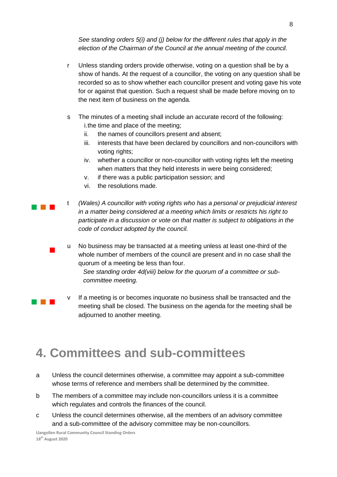*See standing orders 5(i) and (j) below for the different rules that apply in the election of the Chairman of the Council at the annual meeting of the council.*

- r Unless standing orders provide otherwise, voting on a question shall be by a show of hands. At the request of a councillor, the voting on any question shall be recorded so as to show whether each councillor present and voting gave his vote for or against that question. Such a request shall be made before moving on to the next item of business on the agenda.
- s The minutes of a meeting shall include an accurate record of the following: i.the time and place of the meeting;
	- ii. the names of councillors present and absent;
	- iii. interests that have been declared by councillors and non-councillors with voting rights;
	- iv. whether a councillor or non-councillor with voting rights left the meeting when matters that they held interests in were being considered;
	- v. if there was a public participation session; and
	- vi. the resolutions made.

a na ka

 $\blacksquare$ 

a kacamatan

t *(Wales) A councillor with voting rights who has a personal or prejudicial interest in a matter being considered at a meeting which limits or restricts his right to participate in a discussion or vote on that matter is subject to obligations in the code of conduct adopted by the council.*

u No business may be transacted at a meeting unless at least one-third of the whole number of members of the council are present and in no case shall the quorum of a meeting be less than four.

*See standing order 4d(viii) below for the quorum of a committee or subcommittee meeting.* 

v If a meeting is or becomes inquorate no business shall be transacted and the meeting shall be closed. The business on the agenda for the meeting shall be adjourned to another meeting.

#### **4. Committees and sub-committees**

- a Unless the council determines otherwise, a committee may appoint a sub-committee whose terms of reference and members shall be determined by the committee.
- b The members of a committee may include non-councillors unless it is a committee which regulates and controls the finances of the council.
- c Unless the council determines otherwise, all the members of an advisory committee and a sub-committee of the advisory committee may be non-councillors.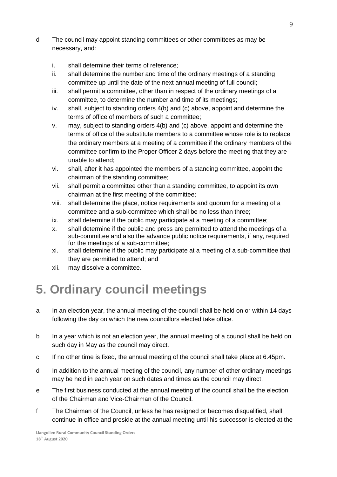- d The council may appoint standing committees or other committees as may be necessary, and:
	- i. shall determine their terms of reference;
	- ii. shall determine the number and time of the ordinary meetings of a standing committee up until the date of the next annual meeting of full council;
	- iii. shall permit a committee, other than in respect of the ordinary meetings of a committee, to determine the number and time of its meetings;
	- iv. shall, subject to standing orders 4(b) and (c) above, appoint and determine the terms of office of members of such a committee;
	- v. may, subject to standing orders 4(b) and (c) above, appoint and determine the terms of office of the substitute members to a committee whose role is to replace the ordinary members at a meeting of a committee if the ordinary members of the committee confirm to the Proper Officer 2 days before the meeting that they are unable to attend;
	- vi. shall, after it has appointed the members of a standing committee, appoint the chairman of the standing committee;
	- vii. shall permit a committee other than a standing committee, to appoint its own chairman at the first meeting of the committee;
	- viii. shall determine the place, notice requirements and quorum for a meeting of a committee and a sub-committee which shall be no less than three;
	- ix. shall determine if the public may participate at a meeting of a committee;
	- x. shall determine if the public and press are permitted to attend the meetings of a sub-committee and also the advance public notice requirements, if any, required for the meetings of a sub-committee;
	- xi. shall determine if the public may participate at a meeting of a sub-committee that they are permitted to attend; and
	- xii. may dissolve a committee.

#### **5. Ordinary council meetings**

- a In an election year, the annual meeting of the council shall be held on or within 14 days following the day on which the new councillors elected take office.
- b In a year which is not an election year, the annual meeting of a council shall be held on such day in May as the council may direct.
- c If no other time is fixed, the annual meeting of the council shall take place at 6.45pm.
- d In addition to the annual meeting of the council, any number of other ordinary meetings may be held in each year on such dates and times as the council may direct.
- e The first business conducted at the annual meeting of the council shall be the election of the Chairman and Vice-Chairman of the Council.
- f The Chairman of the Council, unless he has resigned or becomes disqualified, shall continue in office and preside at the annual meeting until his successor is elected at the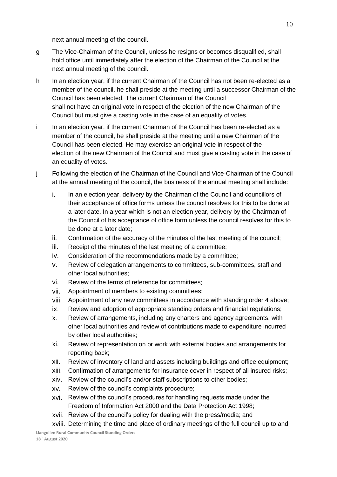next annual meeting of the council.

- g The Vice-Chairman of the Council, unless he resigns or becomes disqualified, shall hold office until immediately after the election of the Chairman of the Council at the next annual meeting of the council.
- h In an election year, if the current Chairman of the Council has not been re-elected as a member of the council, he shall preside at the meeting until a successor Chairman of the Council has been elected. The current Chairman of the Council shall not have an original vote in respect of the election of the new Chairman of the Council but must give a casting vote in the case of an equality of votes.
- i In an election year, if the current Chairman of the Council has been re-elected as a member of the council, he shall preside at the meeting until a new Chairman of the Council has been elected. He may exercise an original vote in respect of the election of the new Chairman of the Council and must give a casting vote in the case of an equality of votes.
- j Following the election of the Chairman of the Council and Vice-Chairman of the Council at the annual meeting of the council, the business of the annual meeting shall include:
	- i. In an election year, delivery by the Chairman of the Council and councillors of their acceptance of office forms unless the council resolves for this to be done at a later date. In a year which is not an election year, delivery by the Chairman of the Council of his acceptance of office form unless the council resolves for this to be done at a later date;
	- ii. Confirmation of the accuracy of the minutes of the last meeting of the council;
	- iii. Receipt of the minutes of the last meeting of a committee;
	- iv. Consideration of the recommendations made by a committee;
	- v. Review of delegation arrangements to committees, sub-committees, staff and other local authorities;
	- vi. Review of the terms of reference for committees;
	- vii. Appointment of members to existing committees;
	- viii. Appointment of any new committees in accordance with standing order 4 above;
	- ix. Review and adoption of appropriate standing orders and financial regulations;
	- x. Review of arrangements, including any charters and agency agreements, with other local authorities and review of contributions made to expenditure incurred by other local authorities;
	- xi. Review of representation on or work with external bodies and arrangements for reporting back;
	- xii. Review of inventory of land and assets including buildings and office equipment;
	- xiii. Confirmation of arrangements for insurance cover in respect of all insured risks;
	- xiv. Review of the council's and/or staff subscriptions to other bodies;
	- xv. Review of the council's complaints procedure;
	- xvi. Review of the council's procedures for handling requests made under the Freedom of Information Act 2000 and the Data Protection Act 1998;
	- xvii. Review of the council's policy for dealing with the press/media; and
	- xviii. Determining the time and place of ordinary meetings of the full council up to and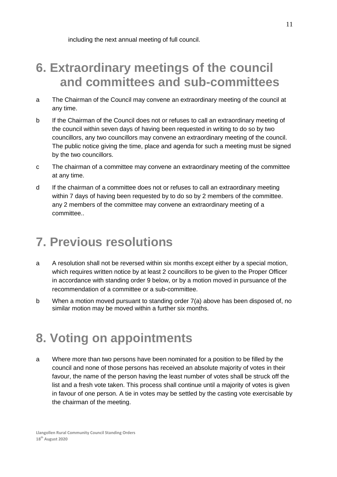including the next annual meeting of full council.

#### **6. Extraordinary meetings of the council and committees and sub-committees**

- a The Chairman of the Council may convene an extraordinary meeting of the council at any time.
- b If the Chairman of the Council does not or refuses to call an extraordinary meeting of the council within seven days of having been requested in writing to do so by two councillors, any two councillors may convene an extraordinary meeting of the council. The public notice giving the time, place and agenda for such a meeting must be signed by the two councillors.
- c The chairman of a committee may convene an extraordinary meeting of the committee at any time.
- d If the chairman of a committee does not or refuses to call an extraordinary meeting within 7 days of having been requested by to do so by 2 members of the committee. any 2 members of the committee may convene an extraordinary meeting of a committee..

#### **7. Previous resolutions**

- a A resolution shall not be reversed within six months except either by a special motion, which requires written notice by at least 2 councillors to be given to the Proper Officer in accordance with standing order 9 below, or by a motion moved in pursuance of the recommendation of a committee or a sub-committee.
- b When a motion moved pursuant to standing order 7(a) above has been disposed of, no similar motion may be moved within a further six months.

#### **8. Voting on appointments**

a Where more than two persons have been nominated for a position to be filled by the council and none of those persons has received an absolute majority of votes in their favour, the name of the person having the least number of votes shall be struck off the list and a fresh vote taken. This process shall continue until a majority of votes is given in favour of one person. A tie in votes may be settled by the casting vote exercisable by the chairman of the meeting.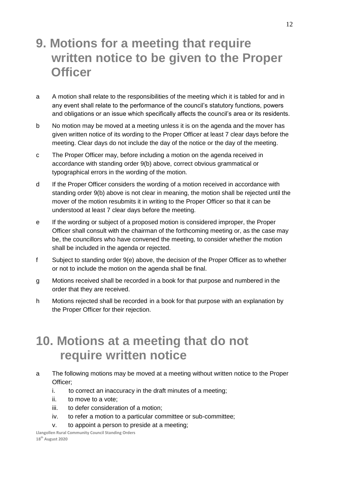#### **9. Motions for a meeting that require written notice to be given to the Proper Officer**

- a A motion shall relate to the responsibilities of the meeting which it is tabled for and in any event shall relate to the performance of the council's statutory functions, powers and obligations or an issue which specifically affects the council's area or its residents.
- b No motion may be moved at a meeting unless it is on the agenda and the mover has given written notice of its wording to the Proper Officer at least 7 clear days before the meeting. Clear days do not include the day of the notice or the day of the meeting.
- c The Proper Officer may, before including a motion on the agenda received in accordance with standing order 9(b) above, correct obvious grammatical or typographical errors in the wording of the motion.
- d If the Proper Officer considers the wording of a motion received in accordance with standing order 9(b) above is not clear in meaning, the motion shall be rejected until the mover of the motion resubmits it in writing to the Proper Officer so that it can be understood at least 7 clear days before the meeting.
- e If the wording or subject of a proposed motion is considered improper, the Proper Officer shall consult with the chairman of the forthcoming meeting or, as the case may be, the councillors who have convened the meeting, to consider whether the motion shall be included in the agenda or rejected.
- f Subject to standing order 9(e) above, the decision of the Proper Officer as to whether or not to include the motion on the agenda shall be final.
- g Motions received shall be recorded in a book for that purpose and numbered in the order that they are received.
- h Motions rejected shall be recorded in a book for that purpose with an explanation by the Proper Officer for their rejection.

#### **10. Motions at a meeting that do not require written notice**

- a The following motions may be moved at a meeting without written notice to the Proper Officer;
	- i. to correct an inaccuracy in the draft minutes of a meeting;
	- ii. to move to a vote;
	- iii. to defer consideration of a motion;
	- iv. to refer a motion to a particular committee or sub-committee;
	- v. to appoint a person to preside at a meeting;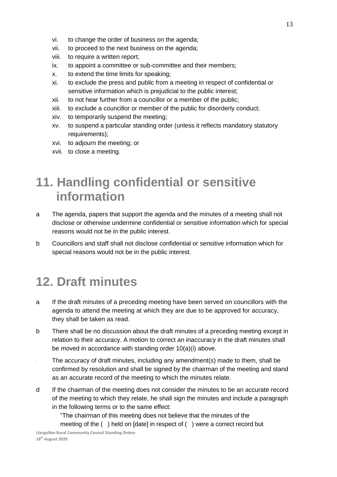- vi. to change the order of business on the agenda;
- vii. to proceed to the next business on the agenda;
- viii. to require a written report;
- ix. to appoint a committee or sub-committee and their members;
- x. to extend the time limits for speaking;
- xi. to exclude the press and public from a meeting in respect of confidential or sensitive information which is prejudicial to the public interest;
- xii. to not hear further from a councillor or a member of the public;
- xiii. to exclude a councillor or member of the public for disorderly conduct;
- xiv. to temporarily suspend the meeting;
- xv. to suspend a particular standing order (unless it reflects mandatory statutory requirements);
- xvi. to adjourn the meeting; or
- xvii. to close a meeting.

#### **11. Handling confidential or sensitive information**

- a The agenda, papers that support the agenda and the minutes of a meeting shall not disclose or otherwise undermine confidential or sensitive information which for special reasons would not be in the public interest.
- b Councillors and staff shall not disclose confidential or sensitive information which for special reasons would not be in the public interest.

#### **12. Draft minutes**

- a If the draft minutes of a preceding meeting have been served on councillors with the agenda to attend the meeting at which they are due to be approved for accuracy, they shall be taken as read.
- b There shall be no discussion about the draft minutes of a preceding meeting except in relation to their accuracy. A motion to correct an inaccuracy in the draft minutes shall be moved in accordance with standing order 10(a)(i) above.
- The accuracy of draft minutes, including any amendment(s) made to them, shall be confirmed by resolution and shall be signed by the chairman of the meeting and stand as an accurate record of the meeting to which the minutes relate.
- d If the chairman of the meeting does not consider the minutes to be an accurate record of the meeting to which they relate, he shall sign the minutes and include a paragraph in the following terms or to the same effect:

"The chairman of this meeting does not believe that the minutes of the meeting of the ( ) held on [date] in respect of ( ) were a correct record but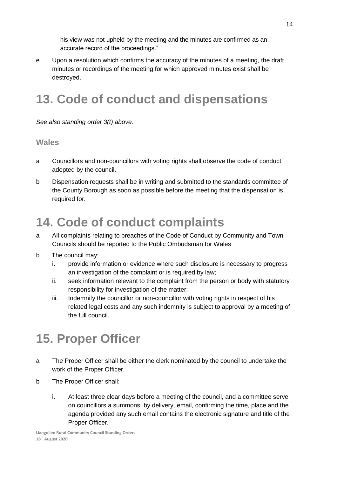his view was not upheld by the meeting and the minutes are confirmed as an accurate record of the proceedings."

e Upon a resolution which confirms the accuracy of the minutes of a meeting, the draft minutes or recordings of the meeting for which approved minutes exist shall be destroyed.

#### **13. Code of conduct and dispensations**

*See also standing order 3(t) above.* 

#### **Wales**

- a Councillors and non-councillors with voting rights shall observe the code of conduct adopted by the council.
- b Dispensation requests shall be in writing and submitted to the standards committee of the County Borough as soon as possible before the meeting that the dispensation is required for.

#### **14. Code of conduct complaints**

- a All complaints relating to breaches of the Code of Conduct by Community and Town Councils should be reported to the Public Ombudsman for Wales
- b The council may:
	- i. provide information or evidence where such disclosure is necessary to progress an investigation of the complaint or is required by law;
	- ii. seek information relevant to the complaint from the person or body with statutory responsibility for investigation of the matter;
	- iii. Indemnify the councillor or non-councillor with voting rights in respect of his related legal costs and any such indemnity is subject to approval by a meeting of the full council.

#### **15. Proper Officer**

- a The Proper Officer shall be either the clerk nominated by the council to undertake the work of the Proper Officer.
- b The Proper Officer shall:
	- i. At least three clear days before a meeting of the council, and a committee serve on councillors a summons, by delivery, email, confirming the time, place and the agenda provided any such email contains the electronic signature and title of the Proper Officer.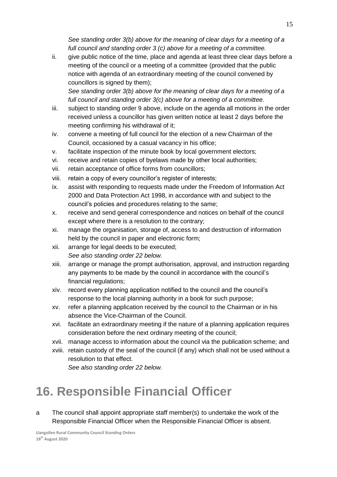*See standing order 3(b) above for the meaning of clear days for a meeting of a full council and standing order 3 (c) above for a meeting of a committee.*

ii. give public notice of the time, place and agenda at least three clear days before a meeting of the council or a meeting of a committee (provided that the public notice with agenda of an extraordinary meeting of the council convened by councillors is signed by them);

*See standing order 3(b) above for the meaning of clear days for a meeting of a full council and standing order 3(c) above for a meeting of a committee.*

- iii. subject to standing order 9 above, include on the agenda all motions in the order received unless a councillor has given written notice at least 2 days before the meeting confirming his withdrawal of it;
- iv. convene a meeting of full council for the election of a new Chairman of the Council, occasioned by a casual vacancy in his office;
- v. facilitate inspection of the minute book by local government electors;
- vi. receive and retain copies of byelaws made by other local authorities;
- vii. retain acceptance of office forms from councillors;
- viii. retain a copy of every councillor's register of interests;
- ix. assist with responding to requests made under the Freedom of Information Act 2000 and Data Protection Act 1998, in accordance with and subject to the council's policies and procedures relating to the same;
- x. receive and send general correspondence and notices on behalf of the council except where there is a resolution to the contrary;
- xi. manage the organisation, storage of, access to and destruction of information held by the council in paper and electronic form;
- xii. arrange for legal deeds to be executed; *See also standing order 22 below.*
- xiii. arrange or manage the prompt authorisation, approval, and instruction regarding any payments to be made by the council in accordance with the council's financial regulations;
- xiv. record every planning application notified to the council and the council's response to the local planning authority in a book for such purpose;
- xv. refer a planning application received by the council to the Chairman or in his absence the Vice-Chairman of the Council.
- xvi. facilitate an extraordinary meeting if the nature of a planning application requires consideration before the next ordinary meeting of the council;
- xvii. manage access to information about the council via the publication scheme; and
- xviii. retain custody of the seal of the council (if any) which shall not be used without a resolution to that effect.

*See also standing order 22 below.*

#### **16. Responsible Financial Officer**

a The council shall appoint appropriate staff member(s) to undertake the work of the Responsible Financial Officer when the Responsible Financial Officer is absent.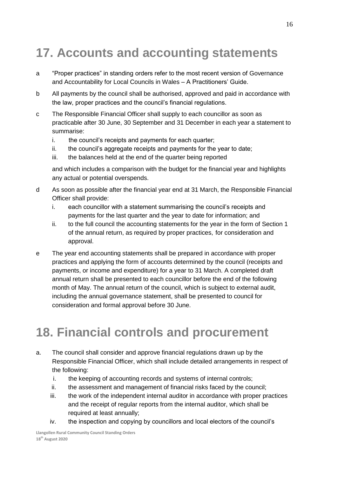#### **17. Accounts and accounting statements**

- a "Proper practices" in standing orders refer to the most recent version of Governance and Accountability for Local Councils in Wales – A Practitioners' Guide.
- b All payments by the council shall be authorised, approved and paid in accordance with the law, proper practices and the council's financial regulations.
- c The Responsible Financial Officer shall supply to each councillor as soon as practicable after 30 June, 30 September and 31 December in each year a statement to summarise:
	- i. the council's receipts and payments for each quarter;
	- ii. the council's aggregate receipts and payments for the year to date;
	- iii. the balances held at the end of the quarter being reported

and which includes a comparison with the budget for the financial year and highlights any actual or potential overspends.

- d As soon as possible after the financial year end at 31 March, the Responsible Financial Officer shall provide:
	- i. each councillor with a statement summarising the council's receipts and payments for the last quarter and the year to date for information; and
	- ii. to the full council the accounting statements for the year in the form of Section 1 of the annual return, as required by proper practices, for consideration and approval.
- e The year end accounting statements shall be prepared in accordance with proper practices and applying the form of accounts determined by the council (receipts and payments, or income and expenditure) for a year to 31 March. A completed draft annual return shall be presented to each councillor before the end of the following month of May. The annual return of the council, which is subject to external audit, including the annual governance statement, shall be presented to council for consideration and formal approval before 30 June.

#### **18. Financial controls and procurement**

- a. The council shall consider and approve financial regulations drawn up by the Responsible Financial Officer, which shall include detailed arrangements in respect of the following:
	- i. the keeping of accounting records and systems of internal controls;
	- ii. the assessment and management of financial risks faced by the council;
	- iii. the work of the independent internal auditor in accordance with proper practices and the receipt of regular reports from the internal auditor, which shall be required at least annually;
	- iv. the inspection and copying by councillors and local electors of the council's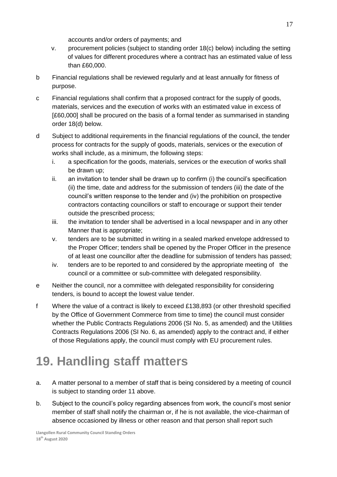accounts and/or orders of payments; and

- v. procurement policies (subject to standing order 18(c) below) including the setting of values for different procedures where a contract has an estimated value of less than £60,000.
- b Financial regulations shall be reviewed regularly and at least annually for fitness of purpose.
- c Financial regulations shall confirm that a proposed contract for the supply of goods, materials, services and the execution of works with an estimated value in excess of [£60,000] shall be procured on the basis of a formal tender as summarised in standing order 18(d) below.
- d Subject to additional requirements in the financial regulations of the council, the tender process for contracts for the supply of goods, materials, services or the execution of works shall include, as a minimum, the following steps:
	- i. a specification for the goods, materials, services or the execution of works shall be drawn up;
	- ii. an invitation to tender shall be drawn up to confirm (i) the council's specification (ii) the time, date and address for the submission of tenders (iii) the date of the council's written response to the tender and (iv) the prohibition on prospective contractors contacting councillors or staff to encourage or support their tender outside the prescribed process;
	- iii. the invitation to tender shall be advertised in a local newspaper and in any other Manner that is appropriate;
	- v. tenders are to be submitted in writing in a sealed marked envelope addressed to the Proper Officer; tenders shall be opened by the Proper Officer in the presence of at least one councillor after the deadline for submission of tenders has passed;
	- iv. tenders are to be reported to and considered by the appropriate meeting of the council or a committee or sub-committee with delegated responsibility.
- e Neither the council, nor a committee with delegated responsibility for considering tenders, is bound to accept the lowest value tender.
- f Where the value of a contract is likely to exceed £138,893 (or other threshold specified by the Office of Government Commerce from time to time) the council must consider whether the Public Contracts Regulations 2006 (SI No. 5, as amended) and the Utilities Contracts Regulations 2006 (SI No. 6, as amended) apply to the contract and, if either of those Regulations apply, the council must comply with EU procurement rules.

### **19. Handling staff matters**

- a. A matter personal to a member of staff that is being considered by a meeting of council is subject to standing order 11 above.
- b. Subject to the council's policy regarding absences from work, the council's most senior member of staff shall notify the chairman or, if he is not available, the vice-chairman of absence occasioned by illness or other reason and that person shall report such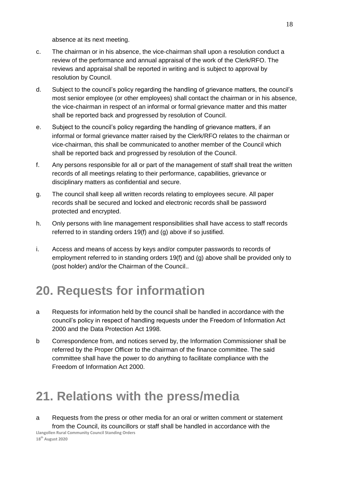absence at its next meeting.

- c. The chairman or in his absence, the vice-chairman shall upon a resolution conduct a review of the performance and annual appraisal of the work of the Clerk/RFO. The reviews and appraisal shall be reported in writing and is subject to approval by resolution by Council.
- d. Subject to the council's policy regarding the handling of grievance matters, the council's most senior employee (or other employees) shall contact the chairman or in his absence, the vice-chairman in respect of an informal or formal grievance matter and this matter shall be reported back and progressed by resolution of Council.
- e. Subject to the council's policy regarding the handling of grievance matters, if an informal or formal grievance matter raised by the Clerk/RFO relates to the chairman or vice-chairman, this shall be communicated to another member of the Council which shall be reported back and progressed by resolution of the Council.
- f. Any persons responsible for all or part of the management of staff shall treat the written records of all meetings relating to their performance, capabilities, grievance or disciplinary matters as confidential and secure.
- g. The council shall keep all written records relating to employees secure. All paper records shall be secured and locked and electronic records shall be password protected and encrypted.
- h. Only persons with line management responsibilities shall have access to staff records referred to in standing orders 19(f) and (g) above if so justified.
- i. Access and means of access by keys and/or computer passwords to records of employment referred to in standing orders 19(f) and (g) above shall be provided only to (post holder) and/or the Chairman of the Council..

#### **20. Requests for information**

- a Requests for information held by the council shall be handled in accordance with the council's policy in respect of handling requests under the Freedom of Information Act 2000 and the Data Protection Act 1998.
- b Correspondence from, and notices served by, the Information Commissioner shall be referred by the Proper Officer to the chairman of the finance committee. The said committee shall have the power to do anything to facilitate compliance with the Freedom of Information Act 2000.

#### **21. Relations with the press/media**

**Llangollen Rural Community Council Standing Orders 18th August 2020** a Requests from the press or other media for an oral or written comment or statement from the Council, its councillors or staff shall be handled in accordance with the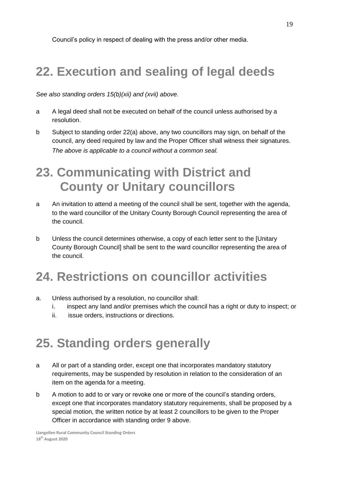Council's policy in respect of dealing with the press and/or other media.

#### **22. Execution and sealing of legal deeds**

*See also standing orders 15(b)(xii) and (xvii) above.*

- a A legal deed shall not be executed on behalf of the council unless authorised by a resolution.
- b Subject to standing order 22(a) above, any two councillors may sign, on behalf of the council, any deed required by law and the Proper Officer shall witness their signatures. *The above is applicable to a council without a common seal.*

#### **23. Communicating with District and County or Unitary councillors**

- a An invitation to attend a meeting of the council shall be sent, together with the agenda, to the ward councillor of the Unitary County Borough Council representing the area of the council.
- b Unless the council determines otherwise, a copy of each letter sent to the [Unitary County Borough Council] shall be sent to the ward councillor representing the area of the council.

#### **24. Restrictions on councillor activities**

- a. Unless authorised by a resolution, no councillor shall:
	- i. inspect any land and/or premises which the council has a right or duty to inspect; or
	- ii. issue orders, instructions or directions.

#### **25. Standing orders generally**

- a All or part of a standing order, except one that incorporates mandatory statutory requirements, may be suspended by resolution in relation to the consideration of an item on the agenda for a meeting.
- b A motion to add to or vary or revoke one or more of the council's standing orders, except one that incorporates mandatory statutory requirements, shall be proposed by a special motion, the written notice by at least 2 councillors to be given to the Proper Officer in accordance with standing order 9 above.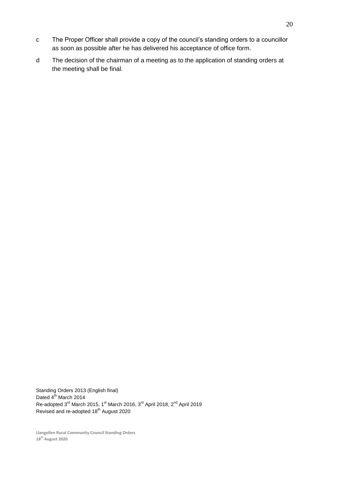- c The Proper Officer shall provide a copy of the council's standing orders to a councillor as soon as possible after he has delivered his acceptance of office form.
- d The decision of the chairman of a meeting as to the application of standing orders at the meeting shall be final.

Standing Orders 2013 (English final) Dated 4<sup>th</sup> March 2014 Re-adopted 3<sup>rd</sup> March 2015, 1<sup>st</sup> March 2016, 3<sup>rd</sup> April 2018, 2<sup>nd</sup> April 2019 Revised and re-adopted 18<sup>th</sup> August 2020

**Llangollen Rural Community Council Standing Orders 18th August 2020**